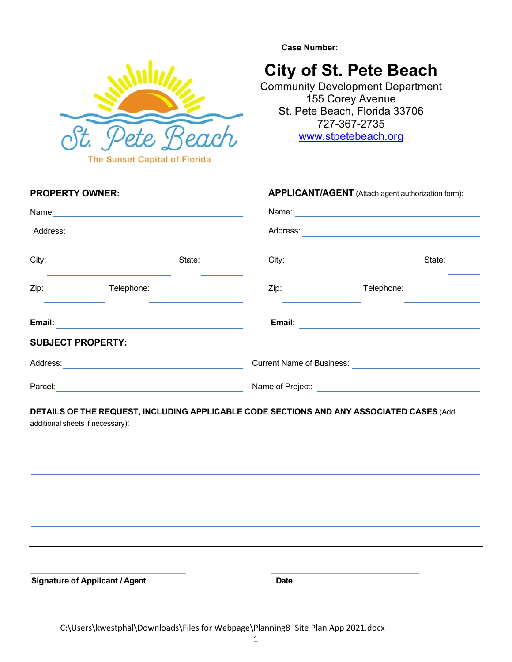

**Case Number:**

## **City of St. Pete Beach**

Community Development Department 155 Corey Avenue St. Pete Beach, Florida 33706 727-367-2735 [www.stpetebeach.org](http://www.stpetebeach.org/)

| <b>PROPERTY OWNER:</b>                                          |                                  |  |      | APPLICANT/AGENT (Attach agent authorization form):                                       |       |
|-----------------------------------------------------------------|----------------------------------|--|------|------------------------------------------------------------------------------------------|-------|
|                                                                 |                                  |  |      |                                                                                          |       |
|                                                                 |                                  |  |      |                                                                                          | City: |
| Zip:                                                            | Telephone:                       |  | Zip: | Telephone:                                                                               |       |
| Email:<br><u> 1989 - Johann Stein, fransk politik (d. 1989)</u> |                                  |  |      |                                                                                          |       |
| <b>SUBJECT PROPERTY:</b>                                        |                                  |  |      |                                                                                          |       |
|                                                                 |                                  |  |      |                                                                                          |       |
|                                                                 |                                  |  |      |                                                                                          |       |
|                                                                 | additional sheets if necessary): |  |      | DETAILS OF THE REQUEST, INCLUDING APPLICABLE CODE SECTIONS AND ANY ASSOCIATED CASES (Add |       |
|                                                                 |                                  |  |      |                                                                                          |       |
|                                                                 |                                  |  |      |                                                                                          |       |
|                                                                 |                                  |  |      |                                                                                          |       |
|                                                                 |                                  |  |      |                                                                                          |       |
|                                                                 |                                  |  |      |                                                                                          |       |
|                                                                 |                                  |  |      |                                                                                          |       |

C:\Users\kwestphal\Downloads\Files for Webpage\Planning8\_Site Plan App 2021.docx

**Signature of Applicant / Agent Date**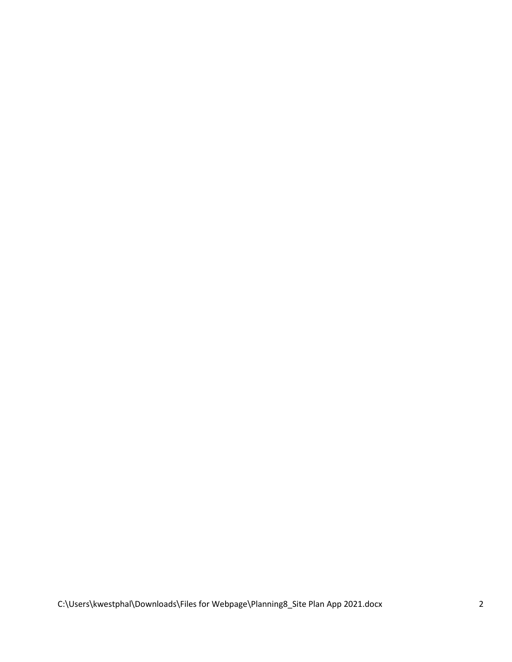C:\Users\kwestphal\Downloads\Files for Webpage\Planning8\_Site Plan App 2021.docx 2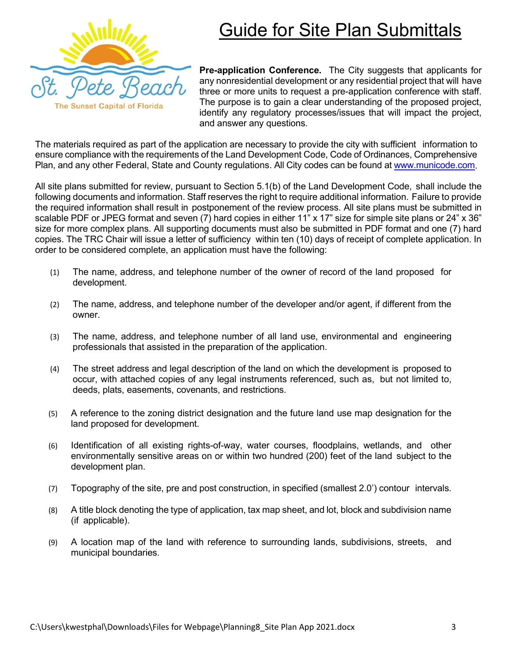

## Guide for Site Plan Submittals

**Pre-application Conference.** The City suggests that applicants for any nonresidential development or any residential project that will have three or more units to request a pre-application conference with staff. The purpose is to gain a clear understanding of the proposed project, identify any regulatory processes/issues that will impact the project, and answer any questions.

The materials required as part of the application are necessary to provide the city with sufficient information to ensure compliance with the requirements of the Land Development Code, Code of Ordinances, Comprehensive Plan, and any other Federal, State and County regulations. All City codes can be found at [www.municode.com.](http://www.municode.com/)

All site plans submitted for review, pursuant to Section 5.1(b) of the Land Development Code, shall include the following documents and information. Staff reserves the right to require additional information. Failure to provide the required information shall result in postponement of the review process. All site plans must be submitted in scalable PDF or JPEG format and seven (7) hard copies in either 11" x 17" size for simple site plans or 24" x 36" size for more complex plans. All supporting documents must also be submitted in PDF format and one (7) hard copies. The TRC Chair will issue a letter of sufficiency within ten (10) days of receipt of complete application. In order to be considered complete, an application must have the following:

- (1) The name, address, and telephone number of the owner of record of the land proposed for development.
- (2) The name, address, and telephone number of the developer and/or agent, if different from the owner.
- (3) The name, address, and telephone number of all land use, environmental and engineering professionals that assisted in the preparation of the application.
- (4) The street address and legal description of the land on which the development is proposed to occur, with attached copies of any legal instruments referenced, such as, but not limited to, deeds, plats, easements, covenants, and restrictions.
- (5) A reference to the zoning district designation and the future land use map designation for the land proposed for development.
- (6) Identification of all existing rights-of-way, water courses, floodplains, wetlands, and other environmentally sensitive areas on or within two hundred (200) feet of the land subject to the development plan.
- (7) Topography of the site, pre and post construction, in specified (smallest 2.0') contour intervals.
- (8) A title block denoting the type of application, tax map sheet, and lot, block and subdivision name (if applicable).
- (9) A location map of the land with reference to surrounding lands, subdivisions, streets, and municipal boundaries.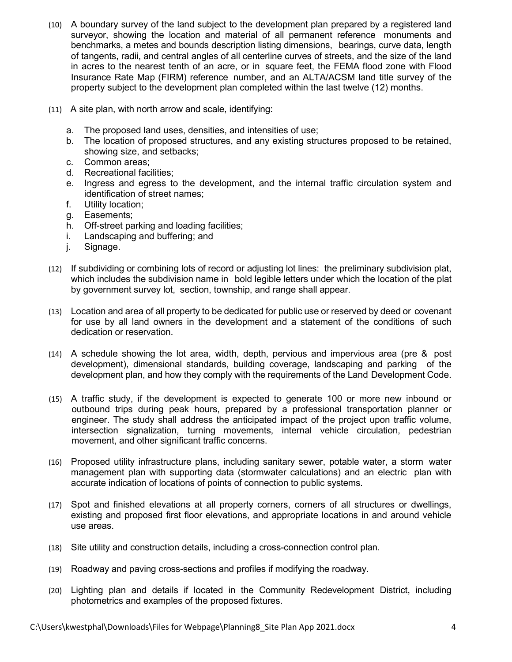- (10) A boundary survey of the land subject to the development plan prepared by a registered land surveyor, showing the location and material of all permanent reference monuments and benchmarks, a metes and bounds description listing dimensions, bearings, curve data, length of tangents, radii, and central angles of all centerline curves of streets, and the size of the land in acres to the nearest tenth of an acre, or in square feet, the FEMA flood zone with Flood Insurance Rate Map (FIRM) reference number, and an ALTA/ACSM land title survey of the property subject to the development plan completed within the last twelve (12) months.
- (11) A site plan, with north arrow and scale, identifying:
	- a. The proposed land uses, densities, and intensities of use;
	- b. The location of proposed structures, and any existing structures proposed to be retained, showing size, and setbacks;
	- c. Common areas;
	- d. Recreational facilities;
	- e. Ingress and egress to the development, and the internal traffic circulation system and identification of street names;
	- f. Utility location;
	- g. Easements;
	- h. Off-street parking and loading facilities;
	- i. Landscaping and buffering; and
	- j. Signage.
- (12) If subdividing or combining lots of record or adjusting lot lines: the preliminary subdivision plat, which includes the subdivision name in bold legible letters under which the location of the plat by government survey lot, section, township, and range shall appear.
- (13) Location and area of all property to be dedicated for public use or reserved by deed or covenant for use by all land owners in the development and a statement of the conditions of such dedication or reservation.
- (14) A schedule showing the lot area, width, depth, pervious and impervious area (pre & post development), dimensional standards, building coverage, landscaping and parking of the development plan, and how they comply with the requirements of the Land Development Code.
- (15) A traffic study, if the development is expected to generate 100 or more new inbound or outbound trips during peak hours, prepared by a professional transportation planner or engineer. The study shall address the anticipated impact of the project upon traffic volume, intersection signalization, turning movements, internal vehicle circulation, pedestrian movement, and other significant traffic concerns.
- (16) Proposed utility infrastructure plans, including sanitary sewer, potable water, a storm water management plan with supporting data (stormwater calculations) and an electric plan with accurate indication of locations of points of connection to public systems.
- (17) Spot and finished elevations at all property corners, corners of all structures or dwellings, existing and proposed first floor elevations, and appropriate locations in and around vehicle use areas.
- (18) Site utility and construction details, including a cross-connection control plan.
- (19) Roadway and paving cross-sections and profiles if modifying the roadway.
- (20) Lighting plan and details if located in the Community Redevelopment District, including photometrics and examples of the proposed fixtures.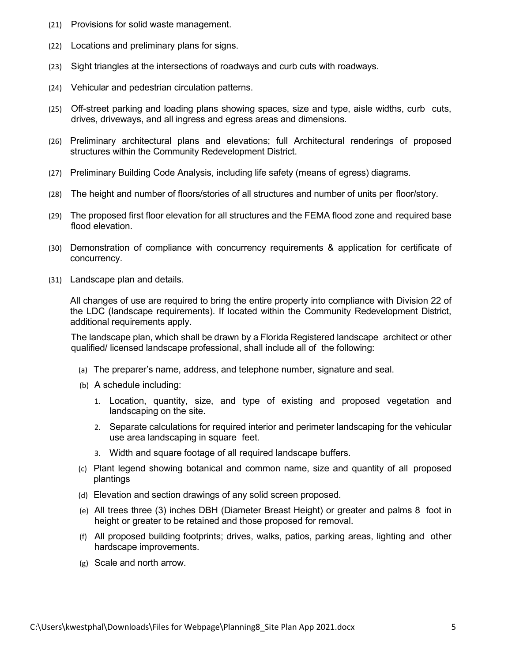- (21) Provisions for solid waste management.
- (22) Locations and preliminary plans for signs.
- (23) Sight triangles at the intersections of roadways and curb cuts with roadways.
- (24) Vehicular and pedestrian circulation patterns.
- (25) Off-street parking and loading plans showing spaces, size and type, aisle widths, curb cuts, drives, driveways, and all ingress and egress areas and dimensions.
- (26) Preliminary architectural plans and elevations; full Architectural renderings of proposed structures within the Community Redevelopment District.
- (27) Preliminary Building Code Analysis, including life safety (means of egress) diagrams.
- (28) The height and number of floors/stories of all structures and number of units per floor/story.
- (29) The proposed first floor elevation for all structures and the FEMA flood zone and required base flood elevation.
- (30) Demonstration of compliance with concurrency requirements & application for certificate of concurrency.
- (31) Landscape plan and details.

All changes of use are required to bring the entire property into compliance with Division 22 of the LDC (landscape requirements). If located within the Community Redevelopment District, additional requirements apply.

The landscape plan, which shall be drawn by a Florida Registered landscape architect or other qualified/ licensed landscape professional, shall include all of the following:

- (a) The preparer's name, address, and telephone number, signature and seal.
- (b) A schedule including:
	- 1. Location, quantity, size, and type of existing and proposed vegetation and landscaping on the site.
	- 2. Separate calculations for required interior and perimeter landscaping for the vehicular use area landscaping in square feet.
	- 3. Width and square footage of all required landscape buffers.
- (c) Plant legend showing botanical and common name, size and quantity of all proposed plantings
- (d) Elevation and section drawings of any solid screen proposed.
- (e) All trees three (3) inches DBH (Diameter Breast Height) or greater and palms 8 foot in height or greater to be retained and those proposed for removal.
- (f) All proposed building footprints; drives, walks, patios, parking areas, lighting and other hardscape improvements.
- (g) Scale and north arrow.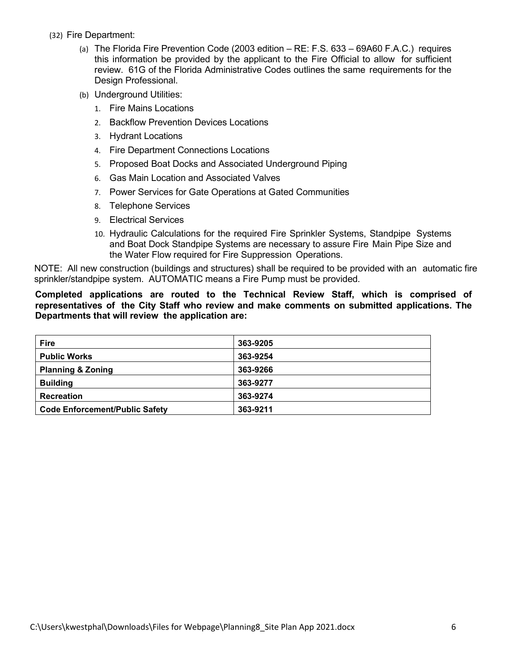- (32) Fire Department:
	- (a) The Florida Fire Prevention Code (2003 edition RE: F.S. 633 69A60 F.A.C.) requires this information be provided by the applicant to the Fire Official to allow for sufficient review. 61G of the Florida Administrative Codes outlines the same requirements for the Design Professional.
	- (b) Underground Utilities:
		- 1. Fire Mains Locations
		- 2. Backflow Prevention Devices Locations
		- 3. Hydrant Locations
		- 4. Fire Department Connections Locations
		- 5. Proposed Boat Docks and Associated Underground Piping
		- 6. Gas Main Location and Associated Valves
		- 7. Power Services for Gate Operations at Gated Communities
		- 8. Telephone Services
		- 9. Electrical Services
		- 10. Hydraulic Calculations for the required Fire Sprinkler Systems, Standpipe Systems and Boat Dock Standpipe Systems are necessary to assure Fire Main Pipe Size and the Water Flow required for Fire Suppression Operations.

NOTE: All new construction (buildings and structures) shall be required to be provided with an automatic fire sprinkler/standpipe system. AUTOMATIC means a Fire Pump must be provided.

**Completed applications are routed to the Technical Review Staff, which is comprised of representatives of the City Staff who review and make comments on submitted applications. The Departments that will review the application are:**

| <b>Fire</b>                           | 363-9205 |
|---------------------------------------|----------|
| <b>Public Works</b>                   | 363-9254 |
| <b>Planning &amp; Zoning</b>          | 363-9266 |
| <b>Building</b>                       | 363-9277 |
| <b>Recreation</b>                     | 363-9274 |
| <b>Code Enforcement/Public Safety</b> | 363-9211 |